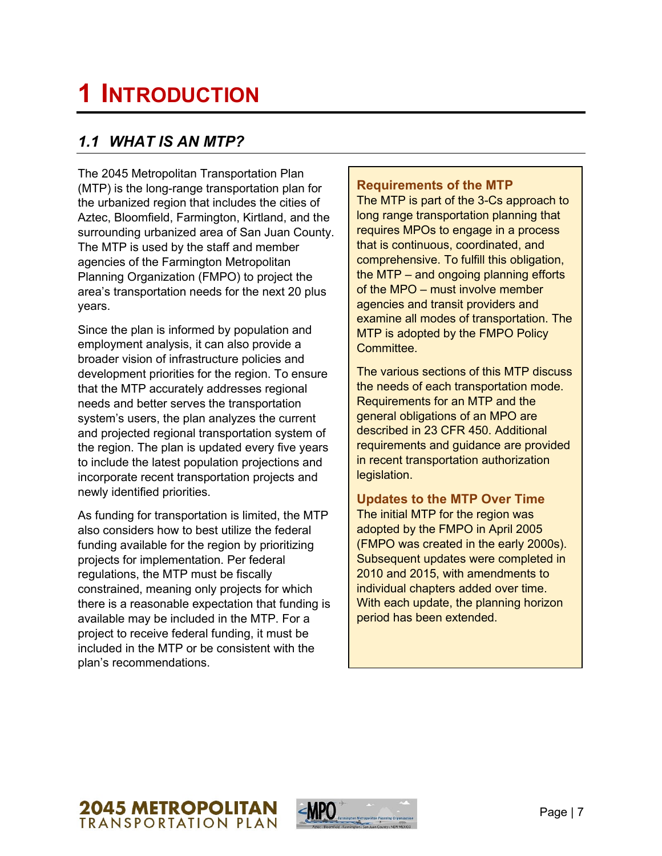# **1 INTRODUCTION**

# *1.1 WHAT IS AN MTP?*

The 2045 Metropolitan Transportation Plan (MTP) is the long-range transportation plan for the urbanized region that includes the cities of Aztec, Bloomfield, Farmington, Kirtland, and the surrounding urbanized area of San Juan County. The MTP is used by the staff and member agencies of the Farmington Metropolitan Planning Organization (FMPO) to project the area's transportation needs for the next 20 plus years.

Since the plan is informed by population and employment analysis, it can also provide a broader vision of infrastructure policies and development priorities for the region. To ensure that the MTP accurately addresses regional needs and better serves the transportation system's users, the plan analyzes the current and projected regional transportation system of the region. The plan is updated every five years to include the latest population projections and incorporate recent transportation projects and newly identified priorities.

As funding for transportation is limited, the MTP also considers how to best utilize the federal funding available for the region by prioritizing projects for implementation. Per federal regulations, the MTP must be fiscally constrained, meaning only projects for which there is a reasonable expectation that funding is available may be included in the MTP. For a project to receive federal funding, it must be included in the MTP or be consistent with the plan's recommendations.

### **Requirements of the MTP**

The MTP is part of the 3-Cs approach to long range transportation planning that requires MPOs to engage in a process that is continuous, coordinated, and comprehensive. To fulfill this obligation, the MTP – and ongoing planning efforts of the MPO – must involve member agencies and transit providers and examine all modes of transportation. The MTP is adopted by the FMPO Policy Committee.

The various sections of this MTP discuss the needs of each transportation mode. Requirements for an MTP and the general obligations of an MPO are described in 23 CFR 450. Additional requirements and guidance are provided in recent transportation authorization legislation.

## **Updates to the MTP Over Time**

The initial MTP for the region was adopted by the FMPO in April 2005 (FMPO was created in the early 2000s). Subsequent updates were completed in 2010 and 2015, with amendments to individual chapters added over time. With each update, the planning horizon period has been extended.



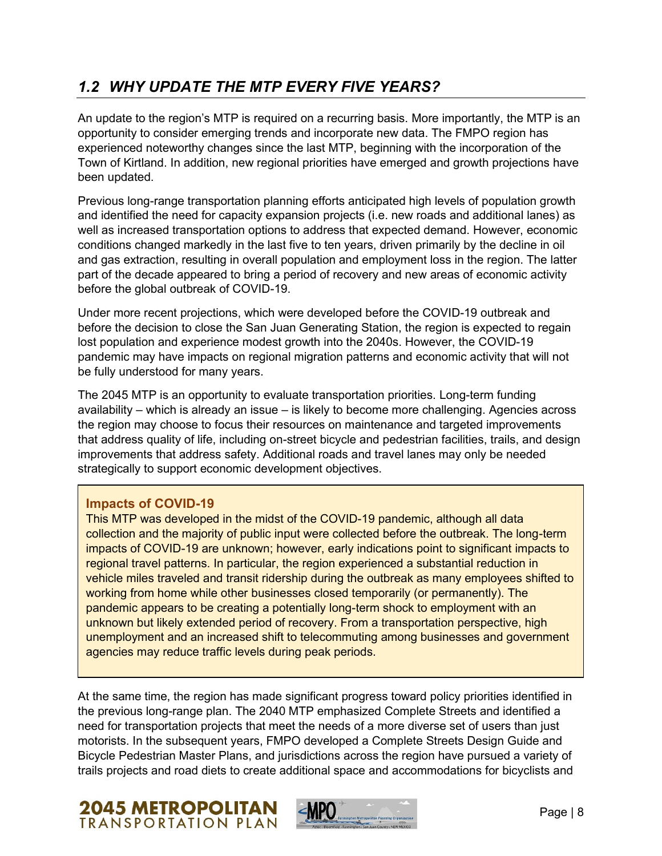# *1.2 WHY UPDATE THE MTP EVERY FIVE YEARS?*

An update to the region's MTP is required on a recurring basis. More importantly, the MTP is an opportunity to consider emerging trends and incorporate new data. The FMPO region has experienced noteworthy changes since the last MTP, beginning with the incorporation of the Town of Kirtland. In addition, new regional priorities have emerged and growth projections have been updated.

Previous long-range transportation planning efforts anticipated high levels of population growth and identified the need for capacity expansion projects (i.e. new roads and additional lanes) as well as increased transportation options to address that expected demand. However, economic conditions changed markedly in the last five to ten years, driven primarily by the decline in oil and gas extraction, resulting in overall population and employment loss in the region. The latter part of the decade appeared to bring a period of recovery and new areas of economic activity before the global outbreak of COVID-19.

Under more recent projections, which were developed before the COVID-19 outbreak and before the decision to close the San Juan Generating Station, the region is expected to regain lost population and experience modest growth into the 2040s. However, the COVID-19 pandemic may have impacts on regional migration patterns and economic activity that will not be fully understood for many years.

The 2045 MTP is an opportunity to evaluate transportation priorities. Long-term funding availability – which is already an issue – is likely to become more challenging. Agencies across the region may choose to focus their resources on maintenance and targeted improvements that address quality of life, including on-street bicycle and pedestrian facilities, trails, and design improvements that address safety. Additional roads and travel lanes may only be needed strategically to support economic development objectives.

## **Impacts of COVID-19**

This MTP was developed in the midst of the COVID-19 pandemic, although all data collection and the majority of public input were collected before the outbreak. The long-term impacts of COVID-19 are unknown; however, early indications point to significant impacts to regional travel patterns. In particular, the region experienced a substantial reduction in vehicle miles traveled and transit ridership during the outbreak as many employees shifted to working from home while other businesses closed temporarily (or permanently). The pandemic appears to be creating a potentially long-term shock to employment with an unknown but likely extended period of recovery. From a transportation perspective, high unemployment and an increased shift to telecommuting among businesses and government agencies may reduce traffic levels during peak periods.

At the same time, the region has made significant progress toward policy priorities identified in the previous long-range plan. The 2040 MTP emphasized Complete Streets and identified a need for transportation projects that meet the needs of a more diverse set of users than just motorists. In the subsequent years, FMPO developed a Complete Streets Design Guide and Bicycle Pedestrian Master Plans, and jurisdictions across the region have pursued a variety of trails projects and road diets to create additional space and accommodations for bicyclists and



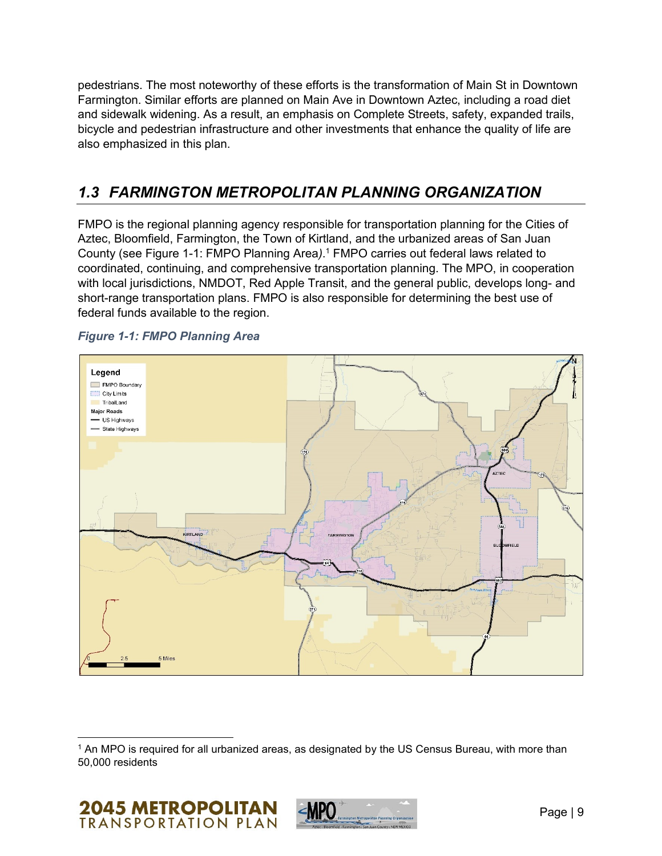pedestrians. The most noteworthy of these efforts is the transformation of Main St in Downtown Farmington. Similar efforts are planned on Main Ave in Downtown Aztec, including a road diet and sidewalk widening. As a result, an emphasis on Complete Streets, safety, expanded trails, bicycle and pedestrian infrastructure and other investments that enhance the quality of life are also emphasized in this plan.

# *1.3 FARMINGTON METROPOLITAN PLANNING ORGANIZATION*

FMPO is the regional planning agency responsible for transportation planning for the Cities of Aztec, Bloomfield, Farmington, the Town of Kirtland, and the urbanized areas of San Juan County (see [Figure 1-1: FMPO Planning Area](#page-2-0)*)*. <sup>1</sup> FMPO carries out federal laws related to coordinated, continuing, and comprehensive transportation planning. The MPO, in cooperation with local jurisdictions, NMDOT, Red Apple Transit, and the general public, develops long- and short-range transportation plans. FMPO is also responsible for determining the best use of federal funds available to the region.



<span id="page-2-0"></span>*Figure 1-1: FMPO Planning Area*

<sup>1</sup> An MPO is required for all urbanized areas, as designated by the US Census Bureau, with more than 50,000 residents



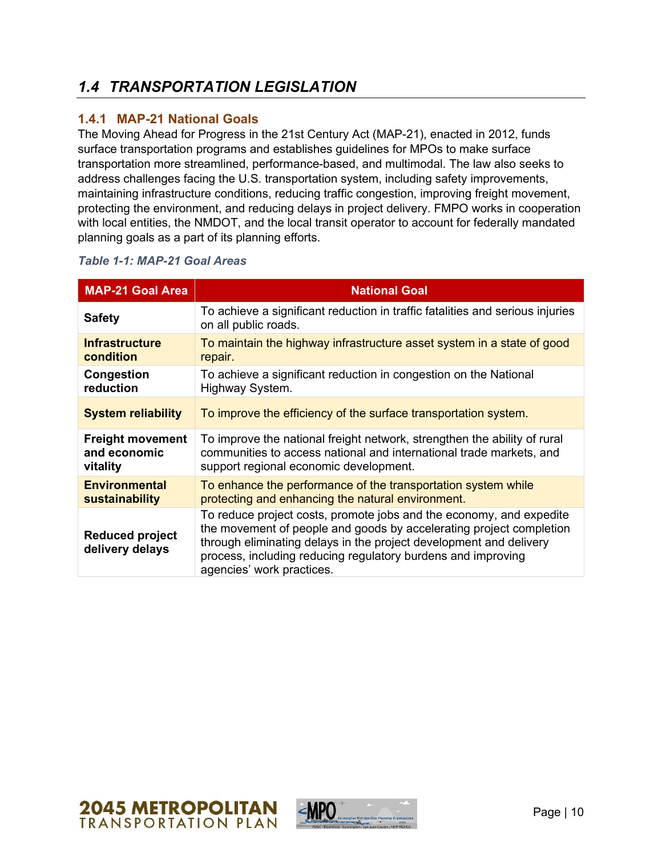# *1.4 TRANSPORTATION LEGISLATION*

## **1.4.1 MAP-21 National Goals**

The Moving Ahead for Progress in the 21st Century Act (MAP-21), enacted in 2012, funds surface transportation programs and establishes guidelines for MPOs to make surface transportation more streamlined, performance-based, and multimodal. The law also seeks to address challenges facing the U.S. transportation system, including safety improvements, maintaining infrastructure conditions, reducing traffic congestion, improving freight movement, protecting the environment, and reducing delays in project delivery. FMPO works in cooperation with local entities, the NMDOT, and the local transit operator to account for federally mandated planning goals as a part of its planning efforts.

| <b>MAP-21 Goal Area</b>                   | <b>National Goal</b>                                                                                                                                                                                                                                                                                          |
|-------------------------------------------|---------------------------------------------------------------------------------------------------------------------------------------------------------------------------------------------------------------------------------------------------------------------------------------------------------------|
| <b>Safety</b>                             | To achieve a significant reduction in traffic fatalities and serious injuries<br>on all public roads.                                                                                                                                                                                                         |
| <b>Infrastructure</b>                     | To maintain the highway infrastructure asset system in a state of good                                                                                                                                                                                                                                        |
| condition                                 | repair.                                                                                                                                                                                                                                                                                                       |
| Congestion                                | To achieve a significant reduction in congestion on the National                                                                                                                                                                                                                                              |
| reduction                                 | Highway System.                                                                                                                                                                                                                                                                                               |
| <b>System reliability</b>                 | To improve the efficiency of the surface transportation system.                                                                                                                                                                                                                                               |
| <b>Freight movement</b>                   | To improve the national freight network, strengthen the ability of rural                                                                                                                                                                                                                                      |
| and economic                              | communities to access national and international trade markets, and                                                                                                                                                                                                                                           |
| vitality                                  | support regional economic development.                                                                                                                                                                                                                                                                        |
| <b>Environmental</b>                      | To enhance the performance of the transportation system while                                                                                                                                                                                                                                                 |
| sustainability                            | protecting and enhancing the natural environment.                                                                                                                                                                                                                                                             |
| <b>Reduced project</b><br>delivery delays | To reduce project costs, promote jobs and the economy, and expedite<br>the movement of people and goods by accelerating project completion<br>through eliminating delays in the project development and delivery<br>process, including reducing regulatory burdens and improving<br>agencies' work practices. |

#### *Table 1-1: MAP-21 Goal Areas*



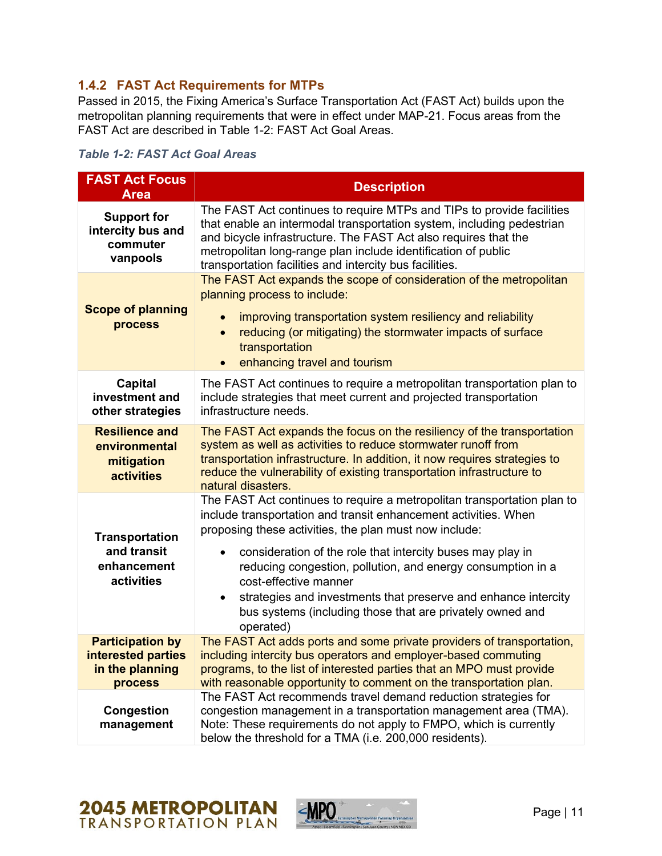## **1.4.2 FAST Act Requirements for MTPs**

Passed in 2015, the Fixing America's Surface Transportation Act (FAST Act) builds upon the metropolitan planning requirements that were in effect under MAP-21. Focus areas from the FAST Act are described in [Table 1-2: FAST Act Goal Areas.](#page-4-0)

<span id="page-4-0"></span>

| <b>Table 1-2: FAST Act Goal Areas</b> |  |  |  |
|---------------------------------------|--|--|--|
|---------------------------------------|--|--|--|

| <b>FAST Act Focus</b><br><b>Area</b>                                               | <b>Description</b>                                                                                                                                                                                                                                                                                                                                                                                                                                                                                                               |  |  |
|------------------------------------------------------------------------------------|----------------------------------------------------------------------------------------------------------------------------------------------------------------------------------------------------------------------------------------------------------------------------------------------------------------------------------------------------------------------------------------------------------------------------------------------------------------------------------------------------------------------------------|--|--|
| <b>Support for</b><br>intercity bus and<br>commuter<br>vanpools                    | The FAST Act continues to require MTPs and TIPs to provide facilities<br>that enable an intermodal transportation system, including pedestrian<br>and bicycle infrastructure. The FAST Act also requires that the<br>metropolitan long-range plan include identification of public<br>transportation facilities and intercity bus facilities.                                                                                                                                                                                    |  |  |
| <b>Scope of planning</b><br>process                                                | The FAST Act expands the scope of consideration of the metropolitan<br>planning process to include:<br>improving transportation system resiliency and reliability<br>reducing (or mitigating) the stormwater impacts of surface<br>$\bullet$<br>transportation<br>enhancing travel and tourism                                                                                                                                                                                                                                   |  |  |
| <b>Capital</b><br>investment and<br>other strategies                               | The FAST Act continues to require a metropolitan transportation plan to<br>include strategies that meet current and projected transportation<br>infrastructure needs.                                                                                                                                                                                                                                                                                                                                                            |  |  |
| <b>Resilience and</b><br>environmental<br>mitigation<br><b>activities</b>          | The FAST Act expands the focus on the resiliency of the transportation<br>system as well as activities to reduce stormwater runoff from<br>transportation infrastructure. In addition, it now requires strategies to<br>reduce the vulnerability of existing transportation infrastructure to<br>natural disasters.                                                                                                                                                                                                              |  |  |
| <b>Transportation</b><br>and transit<br>enhancement<br>activities                  | The FAST Act continues to require a metropolitan transportation plan to<br>include transportation and transit enhancement activities. When<br>proposing these activities, the plan must now include:<br>consideration of the role that intercity buses may play in<br>$\bullet$<br>reducing congestion, pollution, and energy consumption in a<br>cost-effective manner<br>strategies and investments that preserve and enhance intercity<br>$\bullet$<br>bus systems (including those that are privately owned and<br>operated) |  |  |
| <b>Participation by</b><br>interested parties<br>in the planning<br><b>process</b> | The FAST Act adds ports and some private providers of transportation,<br>including intercity bus operators and employer-based commuting<br>programs, to the list of interested parties that an MPO must provide<br>with reasonable opportunity to comment on the transportation plan.                                                                                                                                                                                                                                            |  |  |
| <b>Congestion</b><br>management                                                    | The FAST Act recommends travel demand reduction strategies for<br>congestion management in a transportation management area (TMA).<br>Note: These requirements do not apply to FMPO, which is currently<br>below the threshold for a TMA (i.e. 200,000 residents).                                                                                                                                                                                                                                                               |  |  |

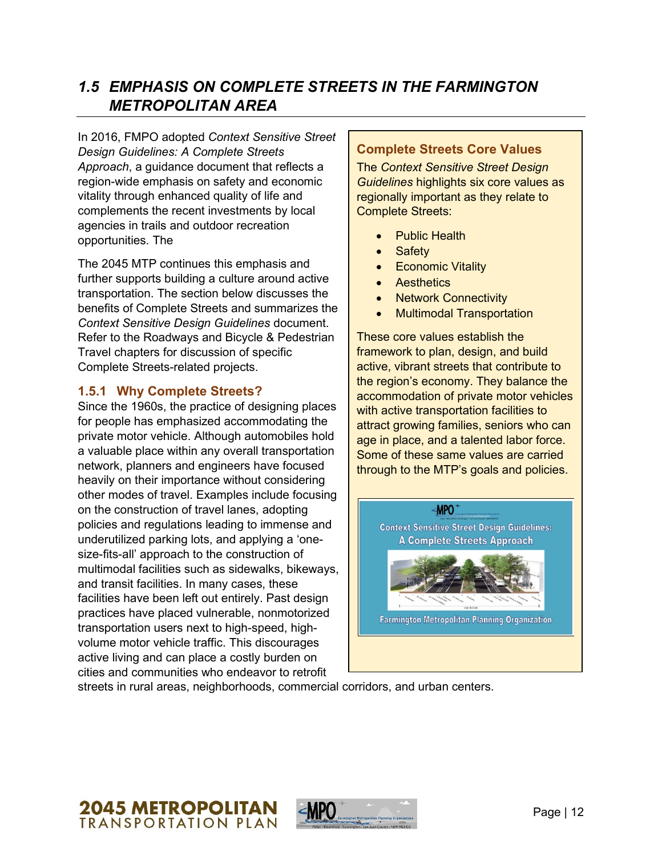# *1.5 EMPHASIS ON COMPLETE STREETS IN THE FARMINGTON METROPOLITAN AREA*

In 2016, FMPO adopted *Context Sensitive Street Design Guidelines: A Complete Streets Approach*, a guidance document that reflects a region-wide emphasis on safety and economic vitality through enhanced quality of life and complements the recent investments by local agencies in trails and outdoor recreation opportunities. The

The 2045 MTP continues this emphasis and further supports building a culture around active transportation. The section below discusses the benefits of Complete Streets and summarizes the *Context Sensitive Design Guidelines* document. Refer to the Roadways and Bicycle & Pedestrian Travel chapters for discussion of specific Complete Streets-related projects.

## **1.5.1 Why Complete Streets?**

Since the 1960s, the practice of designing places for people has emphasized accommodating the private motor vehicle. Although automobiles hold a valuable place within any overall transportation network, planners and engineers have focused heavily on their importance without considering other modes of travel. Examples include focusing on the construction of travel lanes, adopting policies and regulations leading to immense and underutilized parking lots, and applying a 'onesize-fits-all' approach to the construction of multimodal facilities such as sidewalks, bikeways, and transit facilities. In many cases, these facilities have been left out entirely. Past design practices have placed vulnerable, nonmotorized transportation users next to high-speed, highvolume motor vehicle traffic. This discourages active living and can place a costly burden on cities and communities who endeavor to retrofit

#### **Complete Streets Core Values**

The *Context Sensitive Street Design Guidelines* highlights six core values as regionally important as they relate to Complete Streets:

- **Public Health**
- Safety
- Economic Vitality
- Aesthetics
- Network Connectivity
- Multimodal Transportation

These core values establish the framework to plan, design, and build active, vibrant streets that contribute to the region's economy. They balance the accommodation of private motor vehicles with active transportation facilities to attract growing families, seniors who can age in place, and a talented labor force. Some of these same values are carried through to the MTP's goals and policies.



streets in rural areas, neighborhoods, commercial corridors, and urban centers.



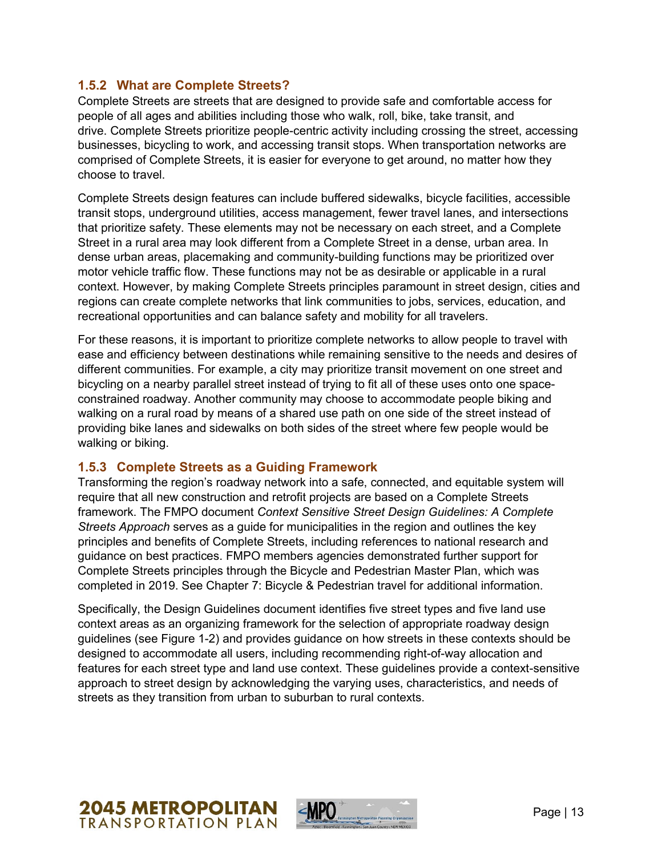#### **1.5.2 What are Complete Streets?**

Complete Streets are streets that are designed to provide safe and comfortable access for people of all ages and abilities including those who walk, roll, bike, take transit, and drive. Complete Streets prioritize people-centric activity including crossing the street, accessing businesses, bicycling to work, and accessing transit stops. When transportation networks are comprised of Complete Streets, it is easier for everyone to get around, no matter how they choose to travel.

Complete Streets design features can include buffered sidewalks, bicycle facilities, accessible transit stops, underground utilities, access management, fewer travel lanes, and intersections that prioritize safety. These elements may not be necessary on each street, and a Complete Street in a rural area may look different from a Complete Street in a dense, urban area. In dense urban areas, placemaking and community-building functions may be prioritized over motor vehicle traffic flow. These functions may not be as desirable or applicable in a rural context. However, by making Complete Streets principles paramount in street design, cities and regions can create complete networks that link communities to jobs, services, education, and recreational opportunities and can balance safety and mobility for all travelers.

For these reasons, it is important to prioritize complete networks to allow people to travel with ease and efficiency between destinations while remaining sensitive to the needs and desires of different communities. For example, a city may prioritize transit movement on one street and bicycling on a nearby parallel street instead of trying to fit all of these uses onto one spaceconstrained roadway. Another community may choose to accommodate people biking and walking on a rural road by means of a shared use path on one side of the street instead of providing bike lanes and sidewalks on both sides of the street where few people would be walking or biking.

#### **1.5.3 Complete Streets as a Guiding Framework**

Transforming the region's roadway network into a safe, connected, and equitable system will require that all new construction and retrofit projects are based on a Complete Streets framework. The FMPO document *Context Sensitive Street Design Guidelines: A Complete Streets Approach* serves as a guide for municipalities in the region and outlines the key principles and benefits of Complete Streets, including references to national research and guidance on best practices. FMPO members agencies demonstrated further support for Complete Streets principles through the Bicycle and Pedestrian Master Plan, which was completed in 2019. See Chapter 7: Bicycle & Pedestrian travel for additional information.

Specifically, the Design Guidelines document identifies five street types and five land use context areas as an organizing framework for the selection of appropriate roadway design guidelines (see Figure 1-2) and provides guidance on how streets in these contexts should be designed to accommodate all users, including recommending right-of-way allocation and features for each street type and land use context. These guidelines provide a context-sensitive approach to street design by acknowledging the varying uses, characteristics, and needs of streets as they transition from urban to suburban to rural contexts.



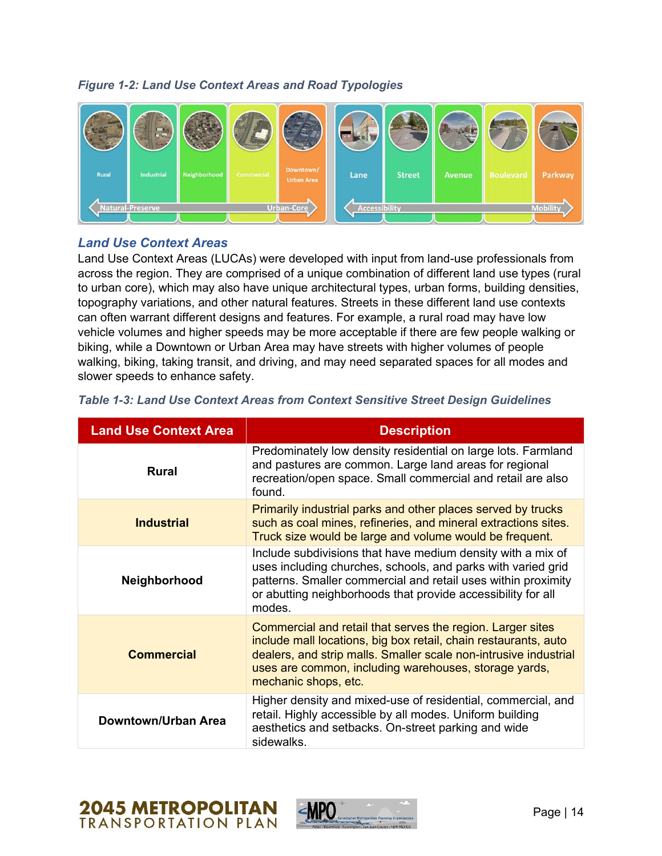#### *Figure 1-2: Land Use Context Areas and Road Typologies*



#### *Land Use Context Areas*

Land Use Context Areas (LUCAs) were developed with input from land-use professionals from across the region. They are comprised of a unique combination of different land use types (rural to urban core), which may also have unique architectural types, urban forms, building densities, topography variations, and other natural features. Streets in these different land use contexts can often warrant different designs and features. For example, a rural road may have low vehicle volumes and higher speeds may be more acceptable if there are few people walking or biking, while a Downtown or Urban Area may have streets with higher volumes of people walking, biking, taking transit, and driving, and may need separated spaces for all modes and slower speeds to enhance safety.

| <b>Land Use Context Area</b> | <b>Description</b>                                                                                                                                                                                                                                                                 |
|------------------------------|------------------------------------------------------------------------------------------------------------------------------------------------------------------------------------------------------------------------------------------------------------------------------------|
| <b>Rural</b>                 | Predominately low density residential on large lots. Farmland<br>and pastures are common. Large land areas for regional<br>recreation/open space. Small commercial and retail are also<br>found.                                                                                   |
| <b>Industrial</b>            | Primarily industrial parks and other places served by trucks<br>such as coal mines, refineries, and mineral extractions sites.<br>Truck size would be large and volume would be frequent.                                                                                          |
| Neighborhood                 | Include subdivisions that have medium density with a mix of<br>uses including churches, schools, and parks with varied grid<br>patterns. Smaller commercial and retail uses within proximity<br>or abutting neighborhoods that provide accessibility for all<br>modes.             |
| <b>Commercial</b>            | Commercial and retail that serves the region. Larger sites<br>include mall locations, big box retail, chain restaurants, auto<br>dealers, and strip malls. Smaller scale non-intrusive industrial<br>uses are common, including warehouses, storage yards,<br>mechanic shops, etc. |
| Downtown/Urban Area          | Higher density and mixed-use of residential, commercial, and<br>retail. Highly accessible by all modes. Uniform building<br>aesthetics and setbacks. On-street parking and wide<br>sidewalks.                                                                                      |

#### <span id="page-7-0"></span>*Table 1-3: Land Use Context Areas from Context Sensitive Street Design Guidelines*



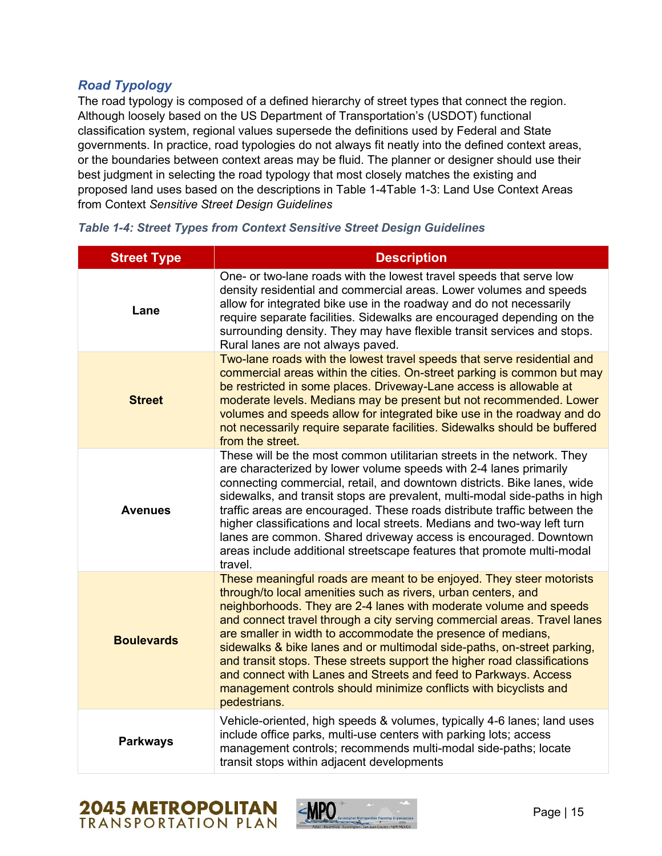### *Road Typology*

The road typology is composed of a defined hierarchy of street types that connect the region. Although loosely based on the US Department of Transportation's (USDOT) functional classification system, regional values supersede the definitions used by Federal and State governments. In practice, road typologies do not always fit neatly into the defined context areas, or the boundaries between context areas may be fluid. The planner or designer should use their best judgment in selecting the road typology that most closely matches the existing and proposed land uses based on the descriptions in [Table 1-4](#page-8-0)[Table 1-3: Land Use Context Areas](#page-7-0)  from Context *[Sensitive Street Design Guidelines](#page-7-0)*

| <b>Street Type</b> | <b>Description</b>                                                                                                                                                                                                                                                                                                                                                                                                                                                                                                                                                                                                                                                    |
|--------------------|-----------------------------------------------------------------------------------------------------------------------------------------------------------------------------------------------------------------------------------------------------------------------------------------------------------------------------------------------------------------------------------------------------------------------------------------------------------------------------------------------------------------------------------------------------------------------------------------------------------------------------------------------------------------------|
| Lane               | One- or two-lane roads with the lowest travel speeds that serve low<br>density residential and commercial areas. Lower volumes and speeds<br>allow for integrated bike use in the roadway and do not necessarily<br>require separate facilities. Sidewalks are encouraged depending on the<br>surrounding density. They may have flexible transit services and stops.<br>Rural lanes are not always paved.                                                                                                                                                                                                                                                            |
| <b>Street</b>      | Two-lane roads with the lowest travel speeds that serve residential and<br>commercial areas within the cities. On-street parking is common but may<br>be restricted in some places. Driveway-Lane access is allowable at<br>moderate levels. Medians may be present but not recommended. Lower<br>volumes and speeds allow for integrated bike use in the roadway and do<br>not necessarily require separate facilities. Sidewalks should be buffered<br>from the street.                                                                                                                                                                                             |
| <b>Avenues</b>     | These will be the most common utilitarian streets in the network. They<br>are characterized by lower volume speeds with 2-4 lanes primarily<br>connecting commercial, retail, and downtown districts. Bike lanes, wide<br>sidewalks, and transit stops are prevalent, multi-modal side-paths in high<br>traffic areas are encouraged. These roads distribute traffic between the<br>higher classifications and local streets. Medians and two-way left turn<br>lanes are common. Shared driveway access is encouraged. Downtown<br>areas include additional streetscape features that promote multi-modal<br>travel.                                                  |
| <b>Boulevards</b>  | These meaningful roads are meant to be enjoyed. They steer motorists<br>through/to local amenities such as rivers, urban centers, and<br>neighborhoods. They are 2-4 lanes with moderate volume and speeds<br>and connect travel through a city serving commercial areas. Travel lanes<br>are smaller in width to accommodate the presence of medians,<br>sidewalks & bike lanes and or multimodal side-paths, on-street parking,<br>and transit stops. These streets support the higher road classifications<br>and connect with Lanes and Streets and feed to Parkways. Access<br>management controls should minimize conflicts with bicyclists and<br>pedestrians. |
| <b>Parkways</b>    | Vehicle-oriented, high speeds & volumes, typically 4-6 lanes; land uses<br>include office parks, multi-use centers with parking lots; access<br>management controls; recommends multi-modal side-paths; locate<br>transit stops within adjacent developments                                                                                                                                                                                                                                                                                                                                                                                                          |

<span id="page-8-0"></span>*Table 1-4: Street Types from Context Sensitive Street Design Guidelines*



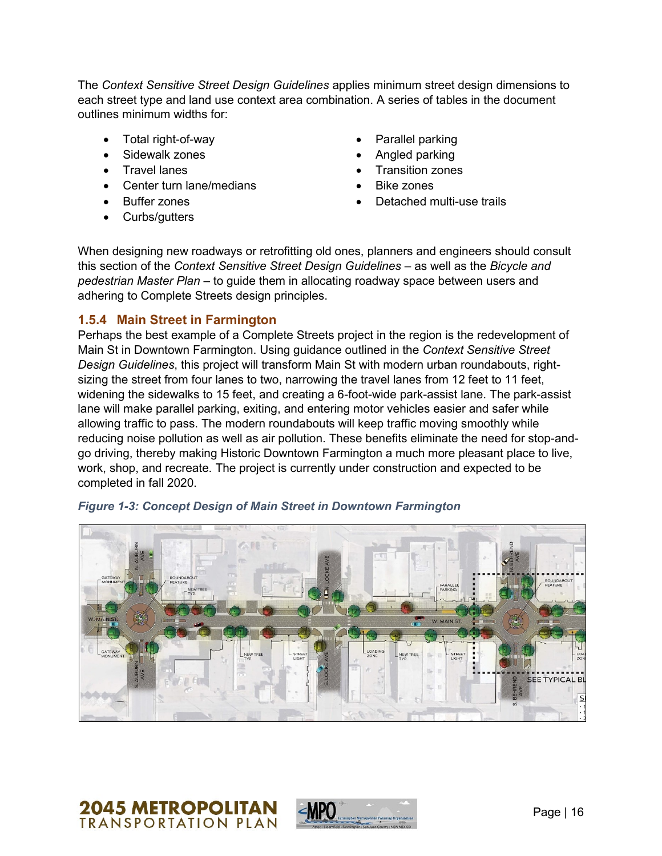The *Context Sensitive Street Design Guidelines* applies minimum street design dimensions to each street type and land use context area combination. A series of tables in the document outlines minimum widths for:

- Total right-of-way
- Sidewalk zones
- Travel lanes
- Center turn lane/medians
- **Buffer zones**
- Curbs/gutters
- Parallel parking
- Angled parking
- Transition zones
- Bike zones
- Detached multi-use trails

When designing new roadways or retrofitting old ones, planners and engineers should consult this section of the *Context Sensitive Street Design Guidelines* – as well as the *Bicycle and pedestrian Master Plan –* to guide them in allocating roadway space between users and adhering to Complete Streets design principles.

#### **1.5.4 Main Street in Farmington**

Perhaps the best example of a Complete Streets project in the region is the redevelopment of Main St in Downtown Farmington. Using guidance outlined in the *Context Sensitive Street Design Guidelines*, this project will transform Main St with modern urban roundabouts, rightsizing the street from four lanes to two, narrowing the travel lanes from 12 feet to 11 feet, widening the sidewalks to 15 feet, and creating a 6-foot-wide park-assist lane. The park-assist lane will make parallel parking, exiting, and entering motor vehicles easier and safer while allowing traffic to pass. The modern roundabouts will keep traffic moving smoothly while reducing noise pollution as well as air pollution. These benefits eliminate the need for stop-andgo driving, thereby making Historic Downtown Farmington a much more pleasant place to live, work, shop, and recreate. The project is currently under construction and expected to be completed in fall 2020.



*Figure 1-3: Concept Design of Main Street in Downtown Farmington*



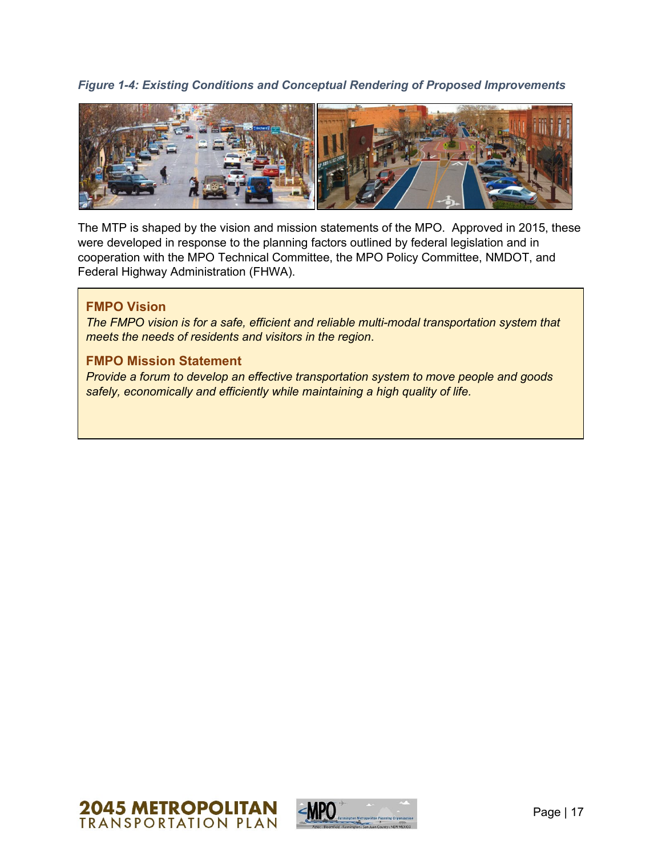*Figure 1-4: Existing Conditions and Conceptual Rendering of Proposed Improvements* 



The MTP is shaped by the vision and mission statements of the MPO. Approved in 2015, these were developed in response to the planning factors outlined by federal legislation and in cooperation with the MPO Technical Committee, the MPO Policy Committee, NMDOT, and Federal Highway Administration (FHWA).

#### **FMPO Vision**

*The FMPO vision is for a safe, efficient and reliable multi-modal transportation system that meets the needs of residents and visitors in the region*.

#### **FMPO Mission Statement**

*Provide a forum to develop an effective transportation system to move people and goods safely, economically and efficiently while maintaining a high quality of life.*



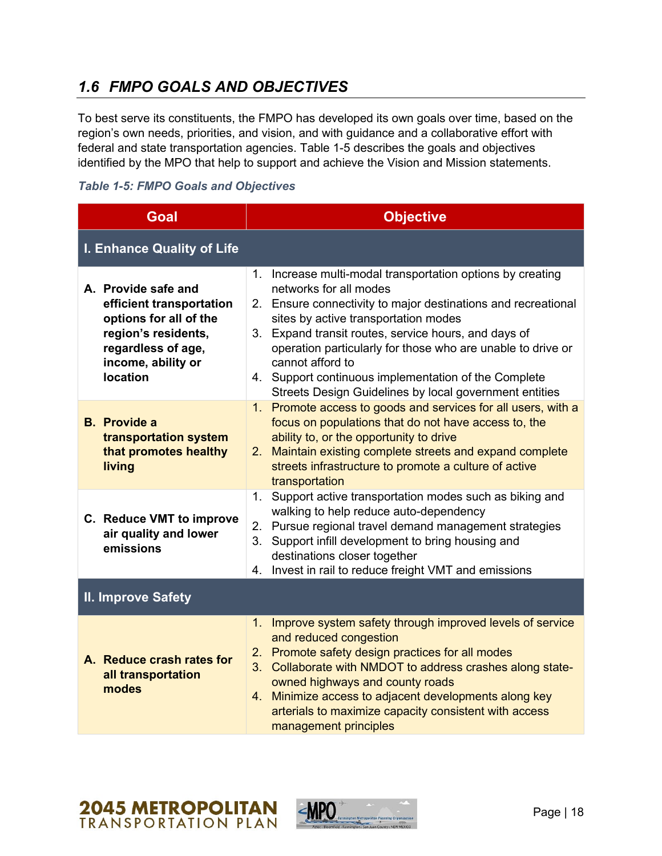# *1.6 FMPO GOALS AND OBJECTIVES*

To best serve its constituents, the FMPO has developed its own goals over time, based on the region's own needs, priorities, and vision, and with guidance and a collaborative effort with federal and state transportation agencies. [Table 1-5](#page-11-0) describes the goals and objectives identified by the MPO that help to support and achieve the Vision and Mission statements.

<span id="page-11-0"></span>

|  |  |  |  |  | <b>Table 1-5: FMPO Goals and Objectives</b> |
|--|--|--|--|--|---------------------------------------------|
|--|--|--|--|--|---------------------------------------------|

| <b>Goal</b>                                                                                                                                                     | <b>Objective</b>                                                                                                                                                                                                                                                                                                                                                                                                                                              |  |
|-----------------------------------------------------------------------------------------------------------------------------------------------------------------|---------------------------------------------------------------------------------------------------------------------------------------------------------------------------------------------------------------------------------------------------------------------------------------------------------------------------------------------------------------------------------------------------------------------------------------------------------------|--|
| I. Enhance Quality of Life                                                                                                                                      |                                                                                                                                                                                                                                                                                                                                                                                                                                                               |  |
| A. Provide safe and<br>efficient transportation<br>options for all of the<br>region's residents,<br>regardless of age,<br>income, ability or<br><b>location</b> | Increase multi-modal transportation options by creating<br>1.<br>networks for all modes<br>2. Ensure connectivity to major destinations and recreational<br>sites by active transportation modes<br>3. Expand transit routes, service hours, and days of<br>operation particularly for those who are unable to drive or<br>cannot afford to<br>4. Support continuous implementation of the Complete<br>Streets Design Guidelines by local government entities |  |
| <b>B.</b> Provide a<br>transportation system<br>that promotes healthy<br>living                                                                                 | 1. Promote access to goods and services for all users, with a<br>focus on populations that do not have access to, the<br>ability to, or the opportunity to drive<br>Maintain existing complete streets and expand complete<br>2.<br>streets infrastructure to promote a culture of active<br>transportation                                                                                                                                                   |  |
| C. Reduce VMT to improve<br>air quality and lower<br>emissions                                                                                                  | Support active transportation modes such as biking and<br>1 <sub>1</sub><br>walking to help reduce auto-dependency<br>2. Pursue regional travel demand management strategies<br>3. Support infill development to bring housing and<br>destinations closer together<br>Invest in rail to reduce freight VMT and emissions<br>4.                                                                                                                                |  |
| <b>II. Improve Safety</b>                                                                                                                                       |                                                                                                                                                                                                                                                                                                                                                                                                                                                               |  |
| A. Reduce crash rates for<br>all transportation<br>modes                                                                                                        | Improve system safety through improved levels of service<br>1.<br>and reduced congestion<br>2. Promote safety design practices for all modes<br>3. Collaborate with NMDOT to address crashes along state-<br>owned highways and county roads<br>4. Minimize access to adjacent developments along key<br>arterials to maximize capacity consistent with access<br>management principles                                                                       |  |

# **2045 METROPOLITAN**<br>**TRANSPORTATION PLAN**

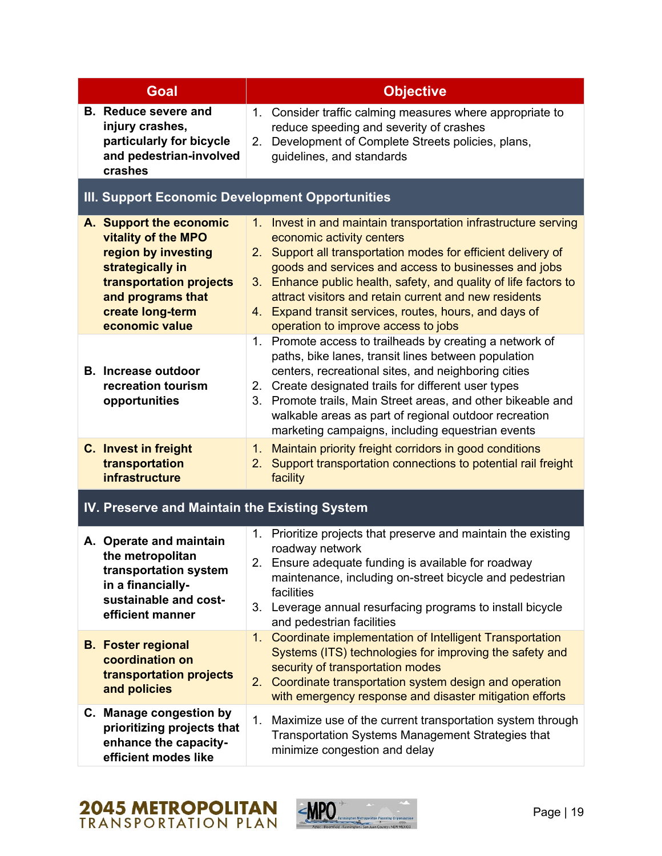| Goal                                                                                                                                                                            | <b>Objective</b>                                                                                                                                                                                                                                                                                                                                                                                                                                       |  |
|---------------------------------------------------------------------------------------------------------------------------------------------------------------------------------|--------------------------------------------------------------------------------------------------------------------------------------------------------------------------------------------------------------------------------------------------------------------------------------------------------------------------------------------------------------------------------------------------------------------------------------------------------|--|
| <b>B.</b> Reduce severe and<br>injury crashes,<br>particularly for bicycle<br>and pedestrian-involved<br>crashes                                                                | Consider traffic calming measures where appropriate to<br>1.<br>reduce speeding and severity of crashes<br>Development of Complete Streets policies, plans,<br>2.<br>guidelines, and standards                                                                                                                                                                                                                                                         |  |
| <b>III. Support Economic Development Opportunities</b>                                                                                                                          |                                                                                                                                                                                                                                                                                                                                                                                                                                                        |  |
| A. Support the economic<br>vitality of the MPO<br>region by investing<br>strategically in<br>transportation projects<br>and programs that<br>create long-term<br>economic value | 1. Invest in and maintain transportation infrastructure serving<br>economic activity centers<br>Support all transportation modes for efficient delivery of<br>2.<br>goods and services and access to businesses and jobs<br>3. Enhance public health, safety, and quality of life factors to<br>attract visitors and retain current and new residents<br>4. Expand transit services, routes, hours, and days of<br>operation to improve access to jobs |  |
| <b>B.</b> Increase outdoor<br>recreation tourism<br>opportunities                                                                                                               | Promote access to trailheads by creating a network of<br>1.<br>paths, bike lanes, transit lines between population<br>centers, recreational sites, and neighboring cities<br>2. Create designated trails for different user types<br>Promote trails, Main Street areas, and other bikeable and<br>3.<br>walkable areas as part of regional outdoor recreation<br>marketing campaigns, including equestrian events                                      |  |
| C. Invest in freight<br>transportation<br><b>infrastructure</b>                                                                                                                 | Maintain priority freight corridors in good conditions<br>1 <sub>1</sub><br>Support transportation connections to potential rail freight<br>2.<br>facility                                                                                                                                                                                                                                                                                             |  |
| IV. Preserve and Maintain the Existing System                                                                                                                                   |                                                                                                                                                                                                                                                                                                                                                                                                                                                        |  |
| A. Operate and maintain<br>the metropolitan<br>transportation system<br>in a financially-<br>sustainable and cost-<br>efficient manner                                          | 1. Prioritize projects that preserve and maintain the existing<br>roadway network<br>2. Ensure adequate funding is available for roadway<br>maintenance, including on-street bicycle and pedestrian<br>facilities<br>Leverage annual resurfacing programs to install bicycle<br>3.<br>and pedestrian facilities                                                                                                                                        |  |
| <b>B.</b> Foster regional<br>coordination on<br>transportation projects<br>and policies                                                                                         | Coordinate implementation of Intelligent Transportation<br>1.<br>Systems (ITS) technologies for improving the safety and<br>security of transportation modes<br>2. Coordinate transportation system design and operation<br>with emergency response and disaster mitigation efforts                                                                                                                                                                    |  |
| C. Manage congestion by<br>prioritizing projects that<br>enhance the capacity-<br>efficient modes like                                                                          | 1.<br>Maximize use of the current transportation system through<br><b>Transportation Systems Management Strategies that</b><br>minimize congestion and delay                                                                                                                                                                                                                                                                                           |  |